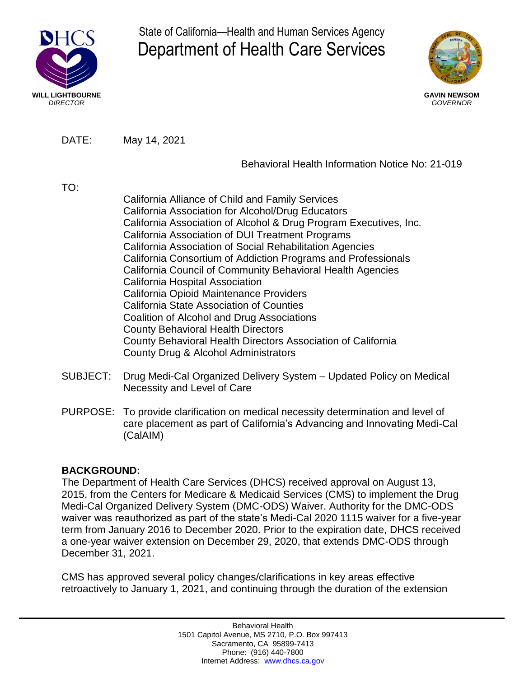

State of California—Health and Human Services Agency Department of Health Care Services



DATE: May 14, 2021

## Behavioral Health Information Notice No: 21-019

TO:

California Alliance of Child and Family Services California Association for Alcohol/Drug Educators California Association of Alcohol & Drug Program Executives, Inc. California Association of DUI Treatment Programs California Association of Social Rehabilitation Agencies California Consortium of Addiction Programs and Professionals California Council of Community Behavioral Health Agencies California Hospital Association California Opioid Maintenance Providers California State Association of Counties Coalition of Alcohol and Drug Associations County Behavioral Health Directors County Behavioral Health Directors Association of California County Drug & Alcohol Administrators

- SUBJECT: Drug Medi-Cal Organized Delivery System Updated Policy on Medical Necessity and Level of Care
- PURPOSE: To provide clarification on medical necessity determination and level of care placement as part of California's Advancing and Innovating Medi-Cal (CalAIM)

# **BACKGROUND:**

The Department of Health Care Services (DHCS) received approval on August 13, 2015, from the Centers for Medicare & Medicaid Services (CMS) to implement the Drug Medi-Cal Organized Delivery System (DMC-ODS) Waiver. Authority for the DMC-ODS waiver was reauthorized as part of the state's Medi-Cal 2020 1115 waiver for a five-year term from January 2016 to December 2020. Prior to the expiration date, DHCS received a one-year waiver extension on December 29, 2020, that extends DMC-ODS through December 31, 2021.

CMS has approved several policy changes/clarifications in key areas effective retroactively to January 1, 2021, and continuing through the duration of the extension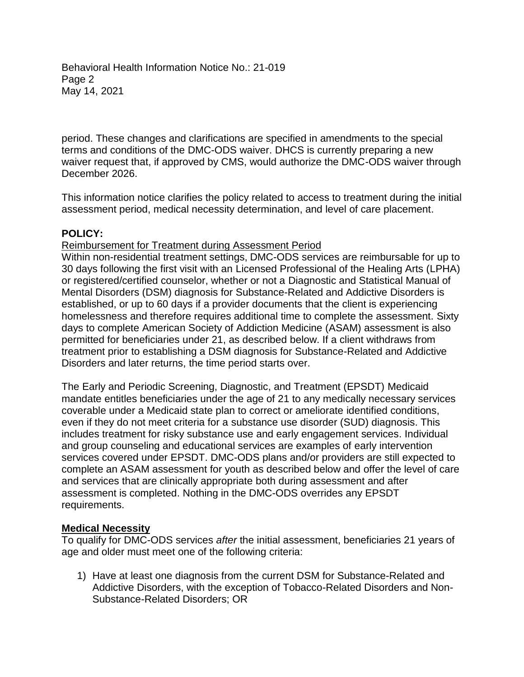Behavioral Health Information Notice No.: 21-019 Page 2 May 14, 2021

period. These changes and clarifications are specified in amendments to the special terms and conditions of the DMC-ODS waiver. DHCS is currently preparing a new waiver request that, if approved by CMS, would authorize the DMC-ODS waiver through December 2026.

This information notice clarifies the policy related to access to treatment during the initial assessment period, medical necessity determination, and level of care placement.

### **POLICY:**

Reimbursement for Treatment during Assessment Period

Within non-residential treatment settings, DMC-ODS services are reimbursable for up to 30 days following the first visit with an Licensed Professional of the Healing Arts (LPHA) or registered/certified counselor, whether or not a Diagnostic and Statistical Manual of Mental Disorders (DSM) diagnosis for Substance-Related and Addictive Disorders is established, or up to 60 days if a provider documents that the client is experiencing homelessness and therefore requires additional time to complete the assessment. Sixty days to complete American Society of Addiction Medicine (ASAM) assessment is also permitted for beneficiaries under 21, as described below. If a client withdraws from treatment prior to establishing a DSM diagnosis for Substance-Related and Addictive Disorders and later returns, the time period starts over.

The Early and Periodic Screening, Diagnostic, and Treatment (EPSDT) Medicaid mandate entitles beneficiaries under the age of 21 to any medically necessary services coverable under a Medicaid state plan to correct or ameliorate identified conditions, even if they do not meet criteria for a substance use disorder (SUD) diagnosis. This includes treatment for risky substance use and early engagement services. Individual and group counseling and educational services are examples of early intervention services covered under EPSDT. DMC-ODS plans and/or providers are still expected to complete an ASAM assessment for youth as described below and offer the level of care and services that are clinically appropriate both during assessment and after assessment is completed. Nothing in the DMC-ODS overrides any EPSDT requirements.

### **Medical Necessity**

To qualify for DMC-ODS services *after* the initial assessment, beneficiaries 21 years of age and older must meet one of the following criteria:

1) Have at least one diagnosis from the current DSM for Substance-Related and Addictive Disorders, with the exception of Tobacco-Related Disorders and Non-Substance-Related Disorders; OR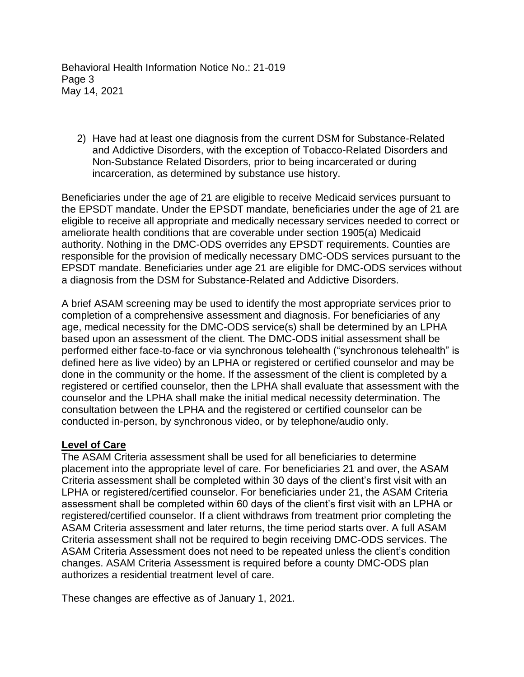Behavioral Health Information Notice No.: 21-019 Page 3 May 14, 2021

2) Have had at least one diagnosis from the current DSM for Substance-Related and Addictive Disorders, with the exception of Tobacco-Related Disorders and Non-Substance Related Disorders, prior to being incarcerated or during incarceration, as determined by substance use history.

Beneficiaries under the age of 21 are eligible to receive Medicaid services pursuant to the EPSDT mandate. Under the EPSDT mandate, beneficiaries under the age of 21 are eligible to receive all appropriate and medically necessary services needed to correct or ameliorate health conditions that are coverable under section 1905(a) Medicaid authority. Nothing in the DMC-ODS overrides any EPSDT requirements. Counties are responsible for the provision of medically necessary DMC-ODS services pursuant to the EPSDT mandate. Beneficiaries under age 21 are eligible for DMC-ODS services without a diagnosis from the DSM for Substance-Related and Addictive Disorders.

A brief ASAM screening may be used to identify the most appropriate services prior to completion of a comprehensive assessment and diagnosis. For beneficiaries of any age, medical necessity for the DMC-ODS service(s) shall be determined by an LPHA based upon an assessment of the client. The DMC-ODS initial assessment shall be performed either face-to-face or via synchronous telehealth ("synchronous telehealth" is defined here as live video) by an LPHA or registered or certified counselor and may be done in the community or the home. If the assessment of the client is completed by a registered or certified counselor, then the LPHA shall evaluate that assessment with the counselor and the LPHA shall make the initial medical necessity determination. The consultation between the LPHA and the registered or certified counselor can be conducted in-person, by synchronous video, or by telephone/audio only.

#### **Level of Care**

The ASAM Criteria assessment shall be used for all beneficiaries to determine placement into the appropriate level of care. For beneficiaries 21 and over, the ASAM Criteria assessment shall be completed within 30 days of the client's first visit with an LPHA or registered/certified counselor. For beneficiaries under 21, the ASAM Criteria assessment shall be completed within 60 days of the client's first visit with an LPHA or registered/certified counselor. If a client withdraws from treatment prior completing the ASAM Criteria assessment and later returns, the time period starts over. A full ASAM Criteria assessment shall not be required to begin receiving DMC-ODS services. The ASAM Criteria Assessment does not need to be repeated unless the client's condition changes. ASAM Criteria Assessment is required before a county DMC-ODS plan authorizes a residential treatment level of care.

These changes are effective as of January 1, 2021.